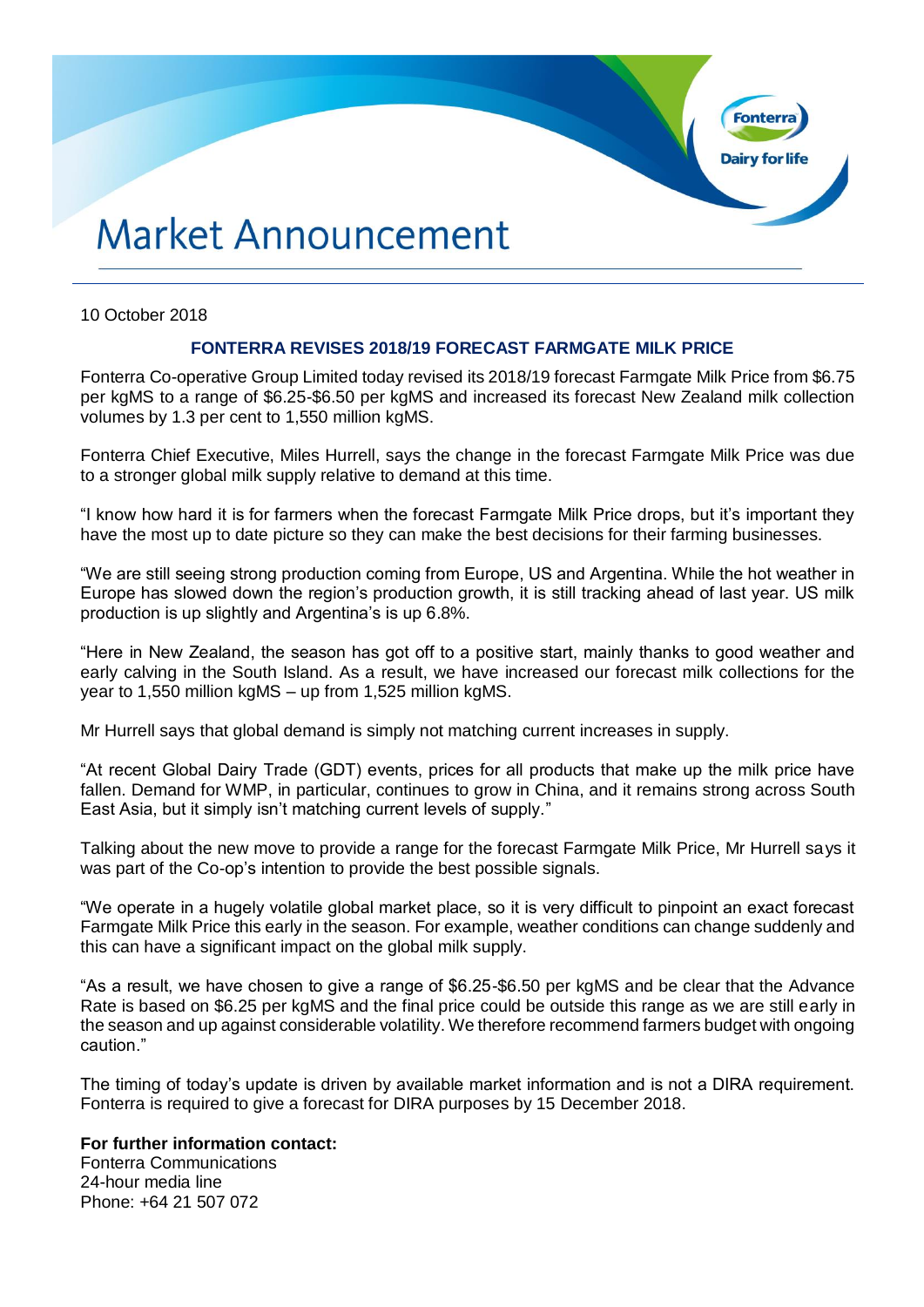# **Market Announcement**

### 10 October 2018

## **FONTERRA REVISES 2018/19 FORECAST FARMGATE MILK PRICE**

**Fonte** 

**Dairy for life** 

Fonterra Co-operative Group Limited today revised its 2018/19 forecast Farmgate Milk Price from \$6.75 per kgMS to a range of \$6.25-\$6.50 per kgMS and increased its forecast New Zealand milk collection volumes by 1.3 per cent to 1,550 million kgMS.

Fonterra Chief Executive, Miles Hurrell, says the change in the forecast Farmgate Milk Price was due to a stronger global milk supply relative to demand at this time.

"I know how hard it is for farmers when the forecast Farmgate Milk Price drops, but it's important they have the most up to date picture so they can make the best decisions for their farming businesses.

"We are still seeing strong production coming from Europe, US and Argentina. While the hot weather in Europe has slowed down the region's production growth, it is still tracking ahead of last year. US milk production is up slightly and Argentina's is up 6.8%.

"Here in New Zealand, the season has got off to a positive start, mainly thanks to good weather and early calving in the South Island. As a result, we have increased our forecast milk collections for the year to 1,550 million kgMS – up from 1,525 million kgMS.

Mr Hurrell says that global demand is simply not matching current increases in supply.

"At recent Global Dairy Trade (GDT) events, prices for all products that make up the milk price have fallen. Demand for WMP, in particular, continues to grow in China, and it remains strong across South East Asia, but it simply isn't matching current levels of supply."

Talking about the new move to provide a range for the forecast Farmgate Milk Price, Mr Hurrell says it was part of the Co-op's intention to provide the best possible signals.

"We operate in a hugely volatile global market place, so it is very difficult to pinpoint an exact forecast Farmgate Milk Price this early in the season. For example, weather conditions can change suddenly and this can have a significant impact on the global milk supply.

"As a result, we have chosen to give a range of \$6.25-\$6.50 per kgMS and be clear that the Advance Rate is based on \$6.25 per kgMS and the final price could be outside this range as we are still early in the season and up against considerable volatility. We therefore recommend farmers budget with ongoing caution."

The timing of today's update is driven by available market information and is not a DIRA requirement. Fonterra is required to give a forecast for DIRA purposes by 15 December 2018.

#### **For further information contact:**

Fonterra Communications 24-hour media line Phone: +64 21 507 072